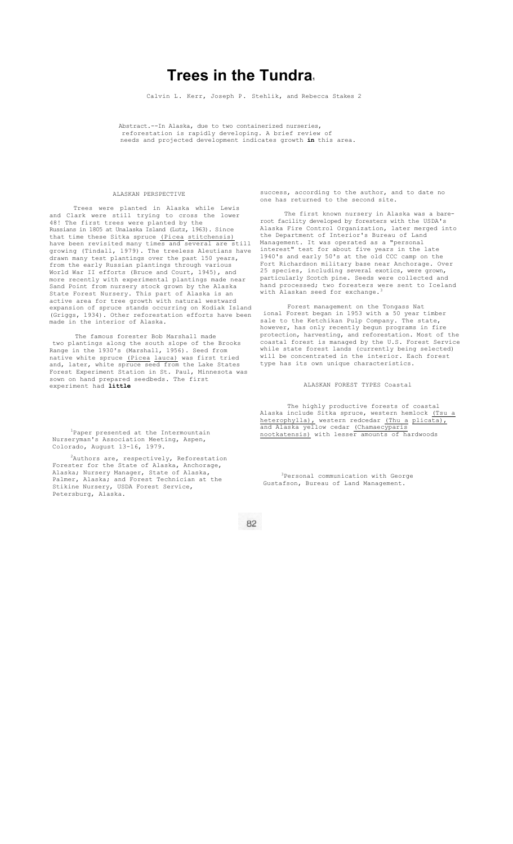# **Trees in the Tundra.**

Calvin L. Kerr, Joseph P. Stehlik, and Rebecca Stakes 2

Abstract.--In Alaska, due to two containerized nurseries, reforestation is rapidly developing. A brief review of needs and projected development indicates growth **in** this area.

### ALASKAN PERSPECTIVE

Trees were planted in Alaska while Lewis and Clark were still trying to cross the lower 48! The first trees were planted by the Russians in 1805 at Unalaska Island (Lutz, 1963). Since that time these Sitka spruce (Picea stitchensis) have been revisited many times and several are still growing (Tindall, 1979). The treeless Aleutians have drawn many test plantings over the past 150 years, from the early Russian plantings through various World War II efforts (Bruce and Court, 1945), and more recently with experimental plantings made near Sand Point from nursery stock grown by the Alaska State Forest Nursery. This part of Alaska is an active area for tree growth with natural westward expansion of spruce stands occurring on Kodiak Island (Griggs, 1934). Other reforestation efforts have been .<br>(Griggs, 1934). Other reforesta<br>made in the interior of Alaska.

The famous forester Bob Marshall made two plantings along the south slope of the Brooks Range in the 1930's (Marshall, 1956). Seed from native white spruce (Picea lauca) was first tried and, later, white spruce seed from the Lake States Forest Experiment Station in St. Paul, Minnesota was sown on hand prepared seedbeds. The first experiment had **little** 

<sup>1</sup>Paper presented at the Intermountain Nurseryman's Association Meeting, Aspen, Colorado, August 13-16, 1979.

<sup>2</sup>Authors are, respectively, Reforestation Forester for the State of Alaska, Anchorage, Alaska; Nursery Manager, State of Alaska, Palmer, Alaska; and Forest Technician at the Stikine Nursery, USDA Forest Service, Petersburg, Alaska.

success, according to the author, and to date no one has returned to the second site.

The first known nursery in Alaska was a bareroot facility developed by foresters with the USDA's Alaska Fire Control Organization, later merged into the Department of Interior's Bureau of Land Management. It was operated as a "personal interest" test for about five years in the late 1940's and early 50's at the old CCC camp on the Fort Richardson military base near Anchorage. Over 25 species, including several exotics, were grown, particularly Scotch pine. Seeds were collected and hand processed; two foresters were sent to Iceland<br>with Alaskan seed for exchange.<sup>3</sup>

Forest management on the Tongass Nat ional Forest began in 1953 with a 50 year timber sale to the Ketchikan Pulp Company. The state, however, has only recently begun programs in fire protection, harvesting, and reforestation. Most of the coastal forest is managed by the U.S. Forest Service while state forest lands (currently being selected) will be concentrated in the interior. Each forest type has its own unique characteristics.

ALASKAN FOREST TYPES Coastal

The highly productive forests of coastal Alaska include Sitka spruce, western hemlock (Tsu a heterophylla), western redcedar (Thu a plicata), and Alaska yellow cedar (Chamaecyparis nootkatensis) with lesser amounts of hardwoods

3Personal communication with George Gustafson, Bureau of Land Management.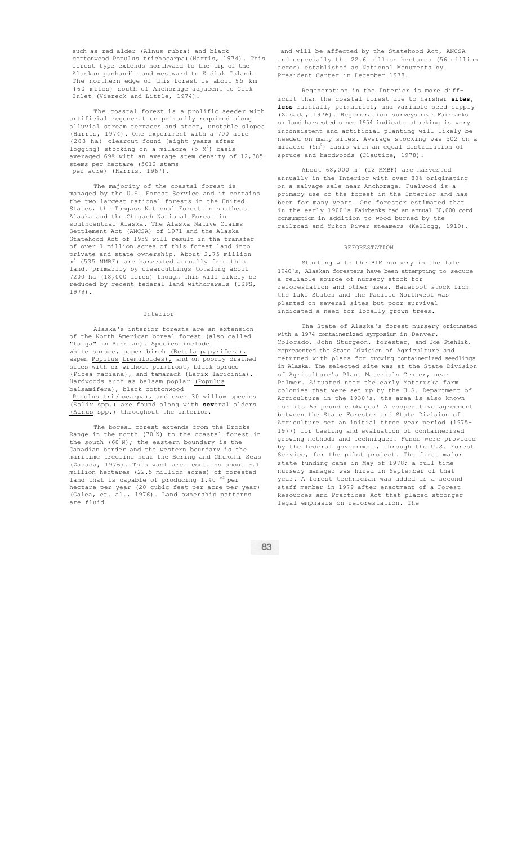such as red alder (Alnus rubra) and black cottonwood Populus trichocarpa) (Harris, 1974). This forest type extends northward to the tip of the Alaskan panhandle and westward to Kodiak Island. The northern edge of this forest is about 95 km (60 miles) south of Anchorage adjacent to Cook Inlet (Viereck and Little, 1974).

The coastal forest is a prolific seeder with artificial regeneration primarily required along alluvial stream terraces and steep, unstable slopes (Harris, 1974). One experiment with a 700 acre (283 ha) clearcut found (eight years after logging) stocking on a milacre  $(5 \t M^2)$  basis averaged 69% with an average stem density of 12,385 stems per hectare (5012 stems per acre) (Harris, 1967).

The majority of the coastal forest is managed by the U.S. Forest Service and it contains the two largest national forests in the United States, the Tongass National Forest in southeast Alaska and the Chugach National Forest in southcentral Alaska. The Alaska Native Claims Settlement Act (ANCSA) of 1971 and the Alaska Statehood Act of 1959 will result in the transfer of over 1 million acres of this forest land into private and state ownership. About 2.75 million<br>m<sup>3</sup> (535 MMBF) are harvested annually from this land, primarily by clearcuttings totaling about 7200 ha (18,000 acres) though this will likely be reduced by recent federal land withdrawals (USFS, 1979).

#### Interior

Alaska's interior forests are an extension of the North American boreal forest (also called taiga" in Russian). Species include white spruce, paper birch (Betula papyrifera), aspen Populus tremuloides), and on poorly drained sites with or without permfrost, black spruce (Picea mariana), and tamarack (Larix laricinia). Hardwoods such as balsam poplar (Populus balsamifera), black cottonwood

Populus trichocarpa), and over 30 willow species (Salix spp.) are found along with **sev**eral alders (Alnus spp.) throughout the interior.

The boreal forest extends from the Brooks Range in the north (70<sup>°</sup>N) to the coastal forest in<br>the south (60<sup>°</sup>N); the eastern boundary is the Canadian border and the western boundary is the maritime treeline near the Bering and Chukchi Seas (Zasada, 1976). This vast area contains about 9.1 million hectares (22.5 million acres) of forested land that is capable of producing 1.40  $^{\text{m3}}$  per hectare per year (20 cubic feet per acre per year) (Galea, et. al., 1976). Land ownership patterns are fluid

and will be affected by the Statehood Act, ANCSA and especially the 22.6 million hectares (56 million acres) established as National Monuments by President Carter in December 1978.

Regeneration in the Interior is more difficult than the coastal forest due to harsher **sites, less** rainfall, permafrost, and variable seed supply (Zasada, 1976). Regeneration surveys near Fairbanks on land harvested since 1954 indicate stocking is very inconsistent and artificial planting will likely be needed on many sites. Average stocking was 502 on a milacre  $(5m^2)$  basis with an equal distribution of spruce and hardwoods (Clautice, 1978).

About  $68.000 \text{ m}^3$  (12 MMBF) are harvested annually in the Interior with over 80% originating on a salvage sale near Anchorage. Fuelwood is a primary use of the forest in the Interior and has been for many years. One forester estimated that in the early 1900's Fairbanks had an annual 60,000 cord consumption in addition to wood burned by the railroad and Yukon River steamers (Kellogg, 1910).

### REFORESTATION

Starting with the BLM nursery in the late 1940's, Alaskan foresters have been attempting to secure a reliable source of nursery stock for reforestation and other uses. Bareroot stock from the Lake States and the Pacific Northwest was planted on several sites but poor survival indicated a need for locally grown trees.

The State of Alaska's forest nursery originated with a 1974 containerized symposium in Denver, Colorado. John Sturgeon, forester, and Joe Stehlik, represented the State Division of Agriculture and returned with plans for growing containerized seedlings in Alaska. The selected site was at the State Division of Agriculture's Plant Materials Center, near Palmer. Situated near the early Matanuska farm colonies that were set up by the U.S. Department of Agriculture in the 1930's, the area is also known for its 65 pound cabbages! A cooperative agreement between the State Forester and State Division of Agriculture set an initial three year period (1975- 1977) for testing and evaluation of containerized growing methods and techniques. Funds were provided by the federal government, through the U.S. Forest Service, for the pilot project. The first major state funding came in May of 1978; a full time nursery manager was hired in September of that year. A forest technician was added as a second staff member in 1979 after enactment of a Forest Resources and Practices Act that placed stronger legal emphasis on reforestation. The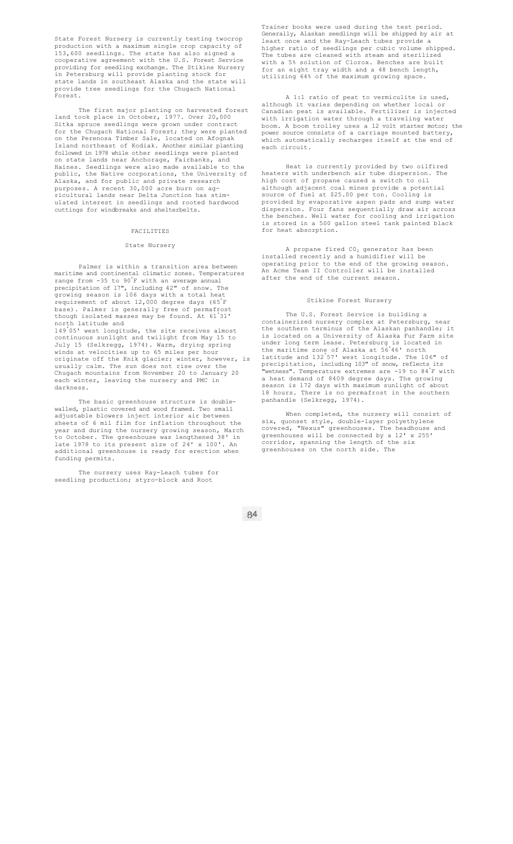State Forest Nursery is currently testing twocrop production with a maximum single crop capacity of .<br>153,600 seedlings. The state has also signed cooperative agreement with the U.S. Forest Service providing for seedling exchange. The Stikine Nursery in Petersburg will provide planting stock for state lands in southeast Alaska and the state will provide tree seedlings for the Chugach National <sub>-</sub><br>Forest.

The first major planting on harvested forest land took place in October, 1977. Over 20,000 Sitka spruce seedlings were grown under contract for the Chugach National Forest; they were planted on the Perenosa Timber Sale, located on Afognak Island northeast of Kodiak. Another similar planting followed in 1978 while other seedlings were planted on state lands near Anchorage, Fairbanks, and Haines. Seedlings were also made available to the public, the Native corporations, the University of Alaska, and for public and private research purposes. A recent 30,000 acre burn on agricultural lands near Delta Junction has stimulated interest in seedlings and rooted hardwood cuttings for windbreaks and shelterbelts.

## FACILITIES

## State Nursery

Palmer is within a transition area between maritime and continental climatic zones. Temperatures range from -35 to 90° F with an average annual precipitation of 17", including 42" of snow. The growing season is 106 days with a total heat requirement of about 12,000 degree days (65° F base). Palmer is generally free of permafrost though isolated masses may be found. At 61° 31' north latitude and 149°05' west longitude, the site receives almost

continuous sunlight and twilight from May 15 to July 15 (Selkregg, 1974). Warm, drying spring winds at velocities up to 65 miles per hour originate off the Knik glacier; winter, however, is usually calm. The sun does not rise over the Chugach mountains from November 20 to January 20 each winter, leaving the nursery and PMC in darkness.

The basic greenhouse structure is doublewalled, plastic covered and wood framed. Two small adjustable blowers inject interior air between sheets of 6 mil film for inflation throughout the year and during the nursery growing season, March to October. The greenhouse was lengthened 38' in late 1978 to its present size of 24' x 100'. An additional greenhouse is ready for erection when funding permits.

The nursery uses Ray-Leach tubes for seedling production; styro-block and Root

Trainer books were used during the test period. Generally, Alaskan seedlings will be shipped by air at least once and the Ray-Leach tubes provide a higher ratio of seedlings per cubic volume shipped. The tubes are cleaned with steam and sterilized with a 5% solution of Clorox. Benches are built for an eight tray width and a 48 bench length, utilizing 64% of the maximum growing space.

A 1:1 ratio of peat to vermiculite is used, although it varies depending on whether local or Canadian peat is available. Fertilizer is injected with irrigation water through a traveling water boom. A boom trolley uses a 12 volt starter motor; the power source consists of a carriage mounted battery, .<br>which automatically recharges itself at the end of each circuit.

Heat is currently provided by two oilfired heaters with underbench air tube dispersion. The high cost of propane caused a switch to oil although adjacent coal mines provide a potential source of fuel at \$25.00 per ton. Cooling is provided by evaporative aspen pads and sump water dispersion. Four fans sequentially draw air across the benches. Well water for cooling and irrigation is stored in a 500 gallon steel tank painted black for heat absorption.

A propane fired CO<sub>2</sub> generator has been installed recently and a humidifier will be operating prior to the end of the growing season. An Acme Team II Controller will be installed after the end of the current season.

### Stikine Forest Nursery

The U.S. Forest Service is building a containerized nursery complex at Petersburg, near the southern terminus of the Alaskan panhandle; it is located on a University of Alaska Fur Farm site under long term lease. Petersburg is located in the maritime zone of Alaska at 56° 46' north latitude and 132°57' west longitude. The 106" of precipitation, including 103" of snow, reflects its "wetness". Temperature extremes are -19 to 84°F with a heat demand of 8409 degree days. The growing season is 172 days with maximum sunlight of about 18 hours. There is no permafrost in the southern panhandle (Selkregg, 1974).

When completed, the nursery will consist of six, quonset style, double-layer polyethylene covered, "Nexus" greenhouses. The headhouse and greenhouses will be connected by a 12' x 255' corridor, spanning the length of the six greenhouses on the north side. The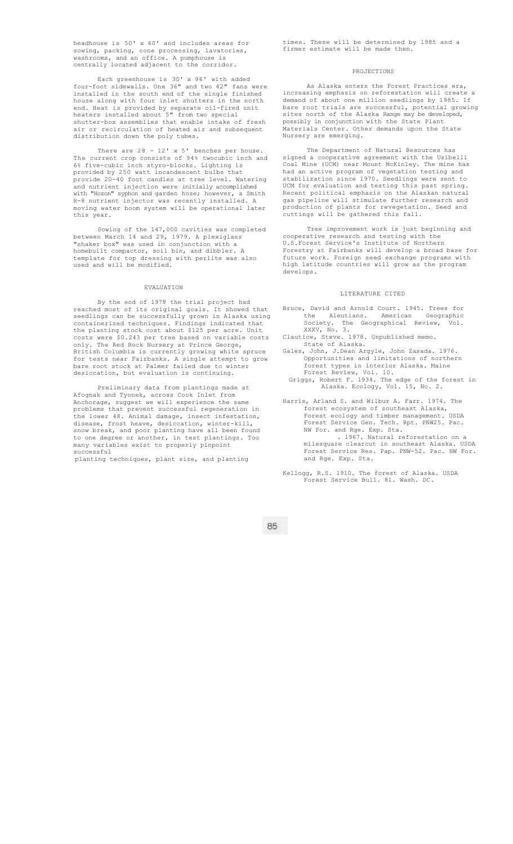headhouse is 50' x 60' and includes areas for sowing, packing, cone processing, lavatories, washrooms, and an office. A pumphouse is centrally located adjacent to the corridor.

Each greenhouse is 30' x 96' with added four-foot sidewalls. One 36" and two 42" fans were installed in the south end of the single finished house along with four inlet shutters in the north end. Heat is provided by separate oil-fired unit heaters installed about 5" from two special shutter-box assemblies that enable intake of fresh or recirculation of heated air and subsequent distribution down the poly tubes.

There are  $28 - 12'$  x  $5'$  benches per house The current crop consists of 94% twocubic inch and 6% five-cubic inch styro-blocks. Lighting is provided by 250 watt incandescent bulbs that provide 20-40 foot candles at tree level. Watering and nutrient injection were initially accomplished with "Hozon" syphon and garden hose; however, a Smith R-8 nutrient injector was recently installed. A moving water boom system will be operational later this year.

Sowing of the 147,000 cavities was completed between March 14 and 29, 1979. A plexiglass "shaker box" was used in conjunction with a homebuilt compactor, soil bin, and dibbler. A template for top dressing with perlite was also used and will be modified.

## EVALUATION

By the end of 1978 the trial project had reached most of its original goals. It showed that seedlings can be successfully grown in Alaska using containerized techniques. Findings indicated that the planting stock cost about \$125 per acre. Unit costs were \$0.243 per tree based on variable costs only. The Red Rock Nursery at Prince George, British Columbia is currently growing white spruce for tests near Fairbanks. A single attempt to grow bare root stock at Palmer failed due to winter desiccation, but evaluation is continuing.

Preliminary data from plantings made at Afognak and Tyonek, across Cook Inlet from Anchorage, suggest we will experience the same problems that prevent successful regeneration in the lower 48. Animal damage, insect infestation, disease, frost heave, desiccation, winter-kill, snow break, and poor planting have all been found to one degree or another, in test plantings. Too many variables exist to properly pinpoint successful

planting techniques, plant size, and planting

times. These will be determined by 1985 and a firmer estimate will be made then.

#### PROJECTIONS

As Alaska enters the Forest Practices era, increasing emphasis on reforestation will create demand of about one million seedlings by 1985. If bare root trials are successful, potential growing sites north of the Alaska Range may be developed, possibly in conjunction with the State Plant Materials Center. Other demands upon the State Nursery are emerging.

The Department of Natural Resources has signed a cooperative agreement with the Usibelli Coal Mine (UCM) near Mount McKinley. The mine has had an active program of vegetation testing and stabilization since 1970. Seedlings were sent to UCM for evaluation and testing this past spring. Recent political emphasis on the Alaskan natural gas pipeline will stimulate further research and production of plants for revegetation. Seed and cuttings will be gathered this fall.

Tree improvement work is just beginning and cooperative research and testing with the U.S.Forest Service's Institute of Northern Forestry at Fairbanks will develop a broad base for future work. Foreign seed exchange programs with high latitude countries will grow as the program develops.

#### LITERATURE CITED

- Bruce, David and Arnold Court. 1945. Trees for the Aleutians. American Geographic Society. The Geographical Review, Vol. XXXV, No. 3.
- 1978. Unpublished memo. Clautice, Steve. 1978.<br>State of Alaska.
- Gales, John, J.Dean Argyle, John Zasada. 1976. Opportunities and limitations of northern forest types in interior Alaska. Maine Forest Review, Vol. 10.
	- Griggs, Robert F. 1934. The edge of the forest in Alaska. Ecology, Vol. 15, No. 2.

Harris, Arland S. and Wilbur A. Farr. 1974. The forest ecosystem of southeast Alaska, Forest ecology and timber management. USDA Forest Service Gen. Tech. Rpt. PNW25. Pac. NW For. and Rge. Exp. Sta.

 . 1967. Natural reforestation on a milesquare clearcut in southeast Alaska. USDA Forest Service Res. Pap. PNW-52. Pac. NW For. and Rge. Exp. Sta.

Kellogg, R.S. 1910. The forest of Alaska. USDA Forest Service Bull. 81. Wash. DC.